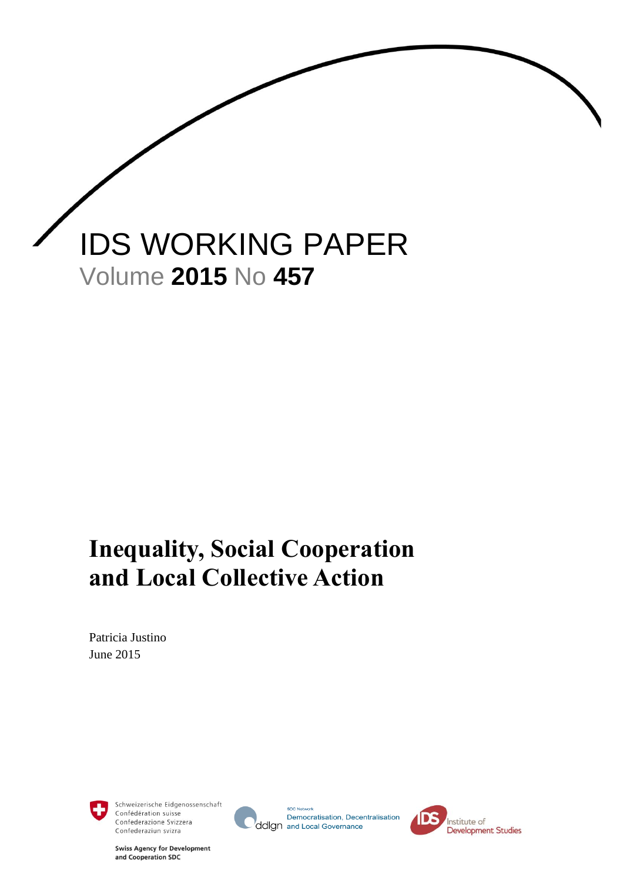

## **Inequality, Social Cooperation and Local Collective Action**

Patricia Justino June 2015



Schweizerische Eidgenossenschaft Confédération suisse Confederazione Svizzera Confederaziun svizra



**SDC Net** Democratisation, Decentralisation ddlgn and Local Governance



**Swiss Agency for Development** and Cooperation SDC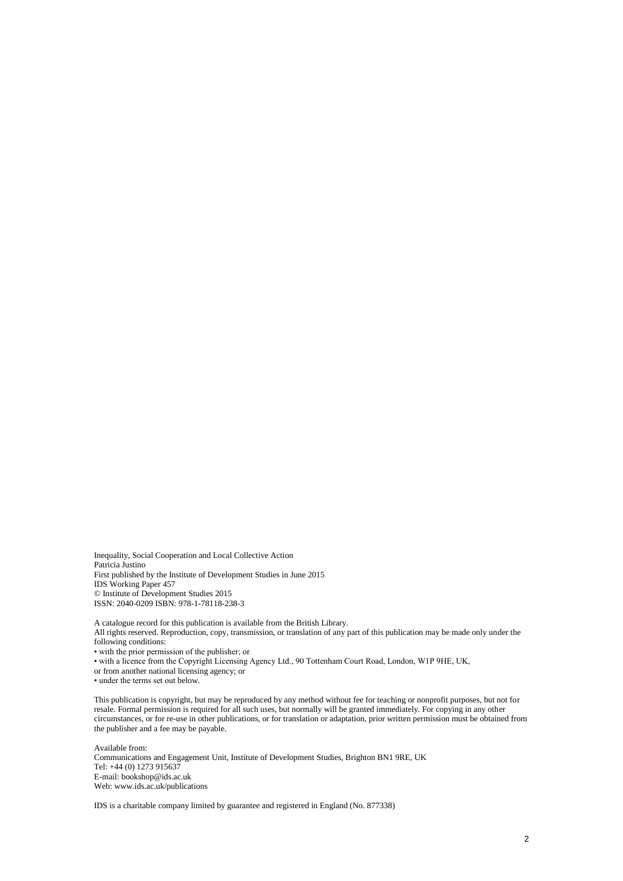Inequality, Social Cooperation and Local Collective Action Patricia Justino First published by the Institute of Development Studies in June 2015 IDS Working Paper 457 © Institute of Development Studies 2015 ISSN: 2040-0209 ISBN: 978-1-78118-238-3

A catalogue record for this publication is available from the British Library. All rights reserved. Reproduction, copy, transmission, or translation of any part of this publication may be made only under the following conditions: • with the prior permission of the publisher; or

• with a licence from the Copyright Licensing Agency Ltd., 90 Tottenham Court Road, London, W1P 9HE, UK,

or from another national licensing agency; or

• under the terms set out below.

This publication is copyright, but may be reproduced by any method without fee for teaching or nonprofit purposes, but not for resale. Formal permission is required for all such uses, but normally will be granted immediately. For copying in any other circumstances, or for re-use in other publications, or for translation or adaptation, prior written permission must be obtained from the publisher and a fee may be payable.

Available from: Communications and Engagement Unit, Institute of Development Studies, Brighton BN1 9RE, UK Tel: +44 (0) 1273 915637 E-mail: bookshop@ids.ac.uk Web: www.ids.ac.uk/publications

IDS is a charitable company limited by guarantee and registered in England (No. 877338)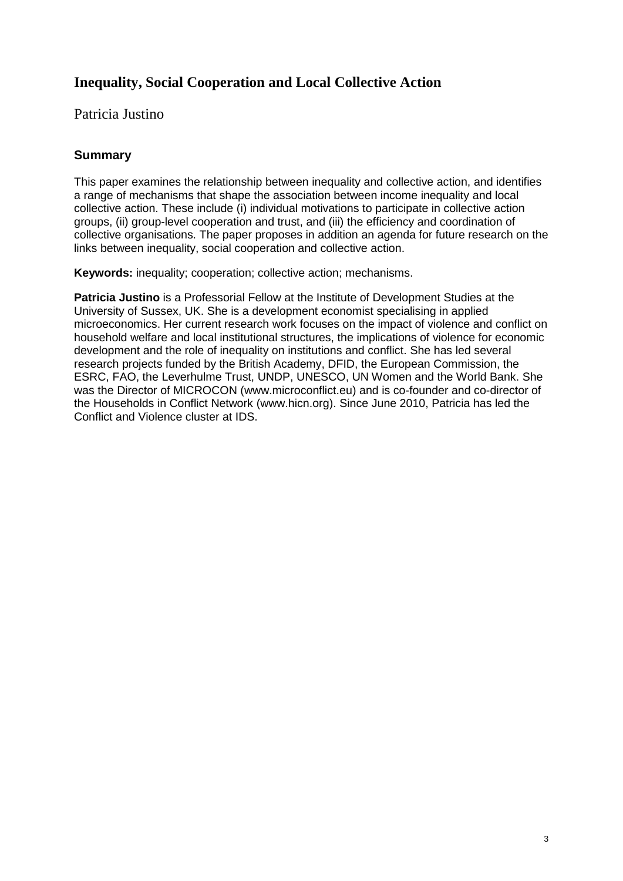#### **Inequality, Social Cooperation and Local Collective Action**

Patricia Justino

#### <span id="page-2-0"></span>**Summary**

This paper examines the relationship between inequality and collective action, and identifies a range of mechanisms that shape the association between income inequality and local collective action. These include (i) individual motivations to participate in collective action groups, (ii) group-level cooperation and trust, and (iii) the efficiency and coordination of collective organisations. The paper proposes in addition an agenda for future research on the links between inequality, social cooperation and collective action.

**Keywords:** inequality; cooperation; collective action; mechanisms.

**Patricia Justino** is a Professorial Fellow at the Institute of Development Studies at the University of Sussex, UK. She is a development economist specialising in applied microeconomics. Her current research work focuses on the impact of violence and conflict on household welfare and local institutional structures, the implications of violence for economic development and the role of inequality on institutions and conflict. She has led several research projects funded by the British Academy, DFID, the European Commission, the ESRC, FAO, the Leverhulme Trust, UNDP, UNESCO, UN Women and the World Bank. She was the Director of MICROCON (www.microconflict.eu) and is co-founder and co-director of the Households in Conflict Network (www.hicn.org). Since June 2010, Patricia has led the Conflict and Violence cluster at IDS.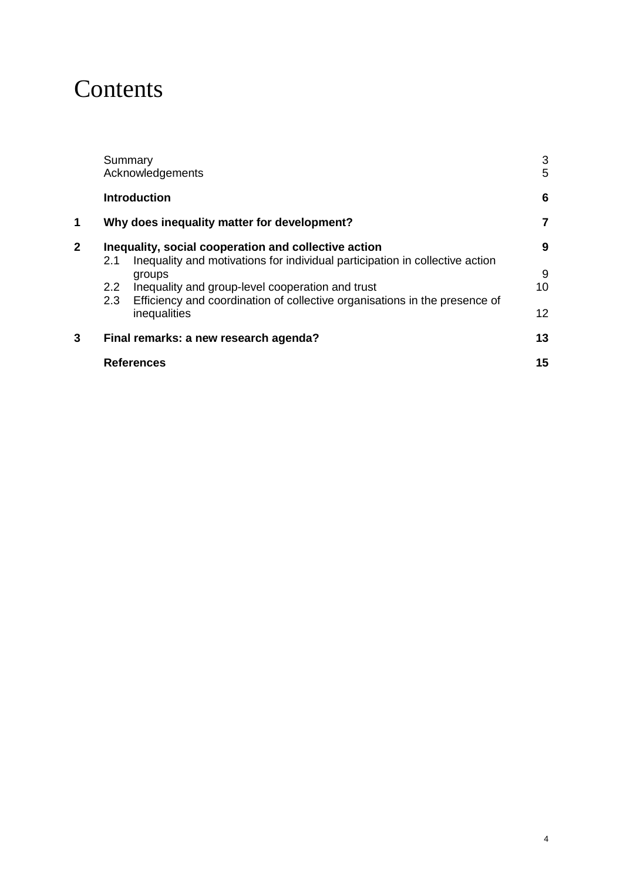### **Contents**

|   |                                       | Summary<br>Acknowledgements                                                                                                          | 3<br>5          |
|---|---------------------------------------|--------------------------------------------------------------------------------------------------------------------------------------|-----------------|
|   |                                       | <b>Introduction</b>                                                                                                                  | 6               |
| 1 |                                       | Why does inequality matter for development?                                                                                          | 7               |
| 2 | 2.1                                   | Inequality, social cooperation and collective action<br>Inequality and motivations for individual participation in collective action | 9               |
|   |                                       | groups                                                                                                                               | 9               |
|   | $2.2^{\circ}$<br>2.3                  | Inequality and group-level cooperation and trust<br>Efficiency and coordination of collective organisations in the presence of       | 10              |
|   |                                       | inequalities                                                                                                                         | 12 <sup>2</sup> |
| 3 | Final remarks: a new research agenda? |                                                                                                                                      | 13              |
|   |                                       | <b>References</b>                                                                                                                    | 15              |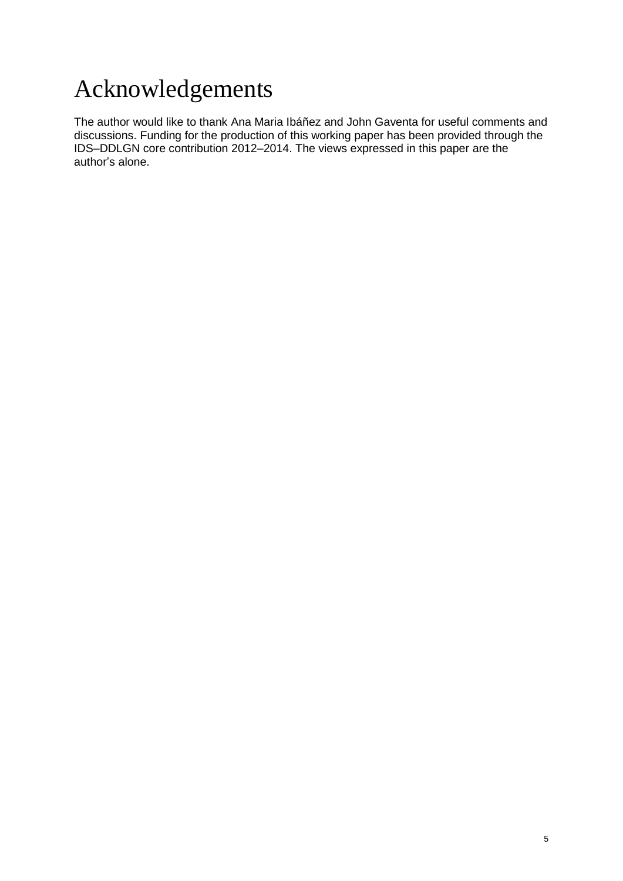# <span id="page-4-0"></span>Acknowledgements

The author would like to thank Ana Maria Ibáñez and John Gaventa for useful comments and discussions. Funding for the production of this working paper has been provided through the IDS–DDLGN core contribution 2012–2014. The views expressed in this paper are the author's alone.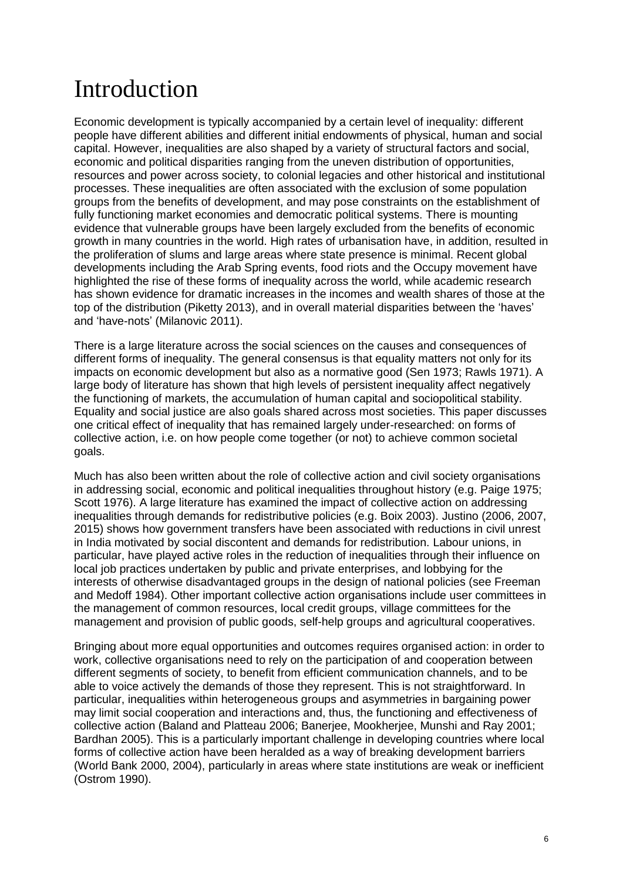## <span id="page-5-0"></span>Introduction

Economic development is typically accompanied by a certain level of inequality: different people have different abilities and different initial endowments of physical, human and social capital. However, inequalities are also shaped by a variety of structural factors and social, economic and political disparities ranging from the uneven distribution of opportunities, resources and power across society, to colonial legacies and other historical and institutional processes. These inequalities are often associated with the exclusion of some population groups from the benefits of development, and may pose constraints on the establishment of fully functioning market economies and democratic political systems. There is mounting evidence that vulnerable groups have been largely excluded from the benefits of economic growth in many countries in the world. High rates of urbanisation have, in addition, resulted in the proliferation of slums and large areas where state presence is minimal. Recent global developments including the Arab Spring events, food riots and the Occupy movement have highlighted the rise of these forms of inequality across the world, while academic research has shown evidence for dramatic increases in the incomes and wealth shares of those at the top of the distribution (Piketty 2013), and in overall material disparities between the 'haves' and 'have-nots' (Milanovic 2011).

There is a large literature across the social sciences on the causes and consequences of different forms of inequality. The general consensus is that equality matters not only for its impacts on economic development but also as a normative good (Sen 1973; Rawls 1971). A large body of literature has shown that high levels of persistent inequality affect negatively the functioning of markets, the accumulation of human capital and sociopolitical stability. Equality and social justice are also goals shared across most societies. This paper discusses one critical effect of inequality that has remained largely under-researched: on forms of collective action, i.e. on how people come together (or not) to achieve common societal goals.

Much has also been written about the role of collective action and civil society organisations in addressing social, economic and political inequalities throughout history (e.g. Paige 1975; Scott 1976). A large literature has examined the impact of collective action on addressing inequalities through demands for redistributive policies (e.g. Boix 2003). Justino (2006, 2007, 2015) shows how government transfers have been associated with reductions in civil unrest in India motivated by social discontent and demands for redistribution. Labour unions, in particular, have played active roles in the reduction of inequalities through their influence on local job practices undertaken by public and private enterprises, and lobbying for the interests of otherwise disadvantaged groups in the design of national policies (see Freeman and Medoff 1984). Other important collective action organisations include user committees in the management of common resources, local credit groups, village committees for the management and provision of public goods, self-help groups and agricultural cooperatives.

Bringing about more equal opportunities and outcomes requires organised action: in order to work, collective organisations need to rely on the participation of and cooperation between different segments of society, to benefit from efficient communication channels, and to be able to voice actively the demands of those they represent. This is not straightforward. In particular, inequalities within heterogeneous groups and asymmetries in bargaining power may limit social cooperation and interactions and, thus, the functioning and effectiveness of collective action (Baland and Platteau 2006; Banerjee, Mookherjee, Munshi and Ray 2001; Bardhan 2005). This is a particularly important challenge in developing countries where local forms of collective action have been heralded as a way of breaking development barriers (World Bank 2000, 2004), particularly in areas where state institutions are weak or inefficient (Ostrom 1990).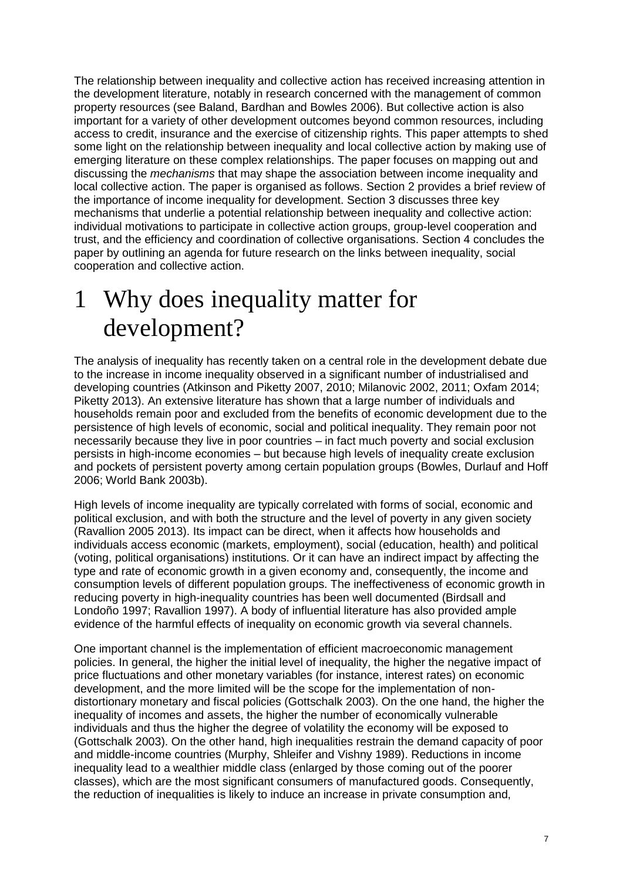The relationship between inequality and collective action has received increasing attention in the development literature, notably in research concerned with the management of common property resources (see Baland, Bardhan and Bowles 2006). But collective action is also important for a variety of other development outcomes beyond common resources, including access to credit, insurance and the exercise of citizenship rights. This paper attempts to shed some light on the relationship between inequality and local collective action by making use of emerging literature on these complex relationships. The paper focuses on mapping out and discussing the *mechanisms* that may shape the association between income inequality and local collective action. The paper is organised as follows. Section 2 provides a brief review of the importance of income inequality for development. Section 3 discusses three key mechanisms that underlie a potential relationship between inequality and collective action: individual motivations to participate in collective action groups, group-level cooperation and trust, and the efficiency and coordination of collective organisations. Section 4 concludes the paper by outlining an agenda for future research on the links between inequality, social cooperation and collective action.

## <span id="page-6-0"></span>1 Why does inequality matter for development?

The analysis of inequality has recently taken on a central role in the development debate due to the increase in income inequality observed in a significant number of industrialised and developing countries (Atkinson and Piketty 2007, 2010; Milanovic 2002, 2011; Oxfam 2014; Piketty 2013). An extensive literature has shown that a large number of individuals and households remain poor and excluded from the benefits of economic development due to the persistence of high levels of economic, social and political inequality. They remain poor not necessarily because they live in poor countries – in fact much poverty and social exclusion persists in high-income economies – but because high levels of inequality create exclusion and pockets of persistent poverty among certain population groups (Bowles, Durlauf and Hoff 2006; World Bank 2003b).

High levels of income inequality are typically correlated with forms of social, economic and political exclusion, and with both the structure and the level of poverty in any given society (Ravallion 2005 2013). Its impact can be direct, when it affects how households and individuals access economic (markets, employment), social (education, health) and political (voting, political organisations) institutions. Or it can have an indirect impact by affecting the type and rate of economic growth in a given economy and, consequently, the income and consumption levels of different population groups. The ineffectiveness of economic growth in reducing poverty in high-inequality countries has been well documented (Birdsall and Londoño 1997; Ravallion 1997). A body of influential literature has also provided ample evidence of the harmful effects of inequality on economic growth via several channels.

One important channel is the implementation of efficient macroeconomic management policies. In general, the higher the initial level of inequality, the higher the negative impact of price fluctuations and other monetary variables (for instance, interest rates) on economic development, and the more limited will be the scope for the implementation of nondistortionary monetary and fiscal policies (Gottschalk 2003). On the one hand, the higher the inequality of incomes and assets, the higher the number of economically vulnerable individuals and thus the higher the degree of volatility the economy will be exposed to (Gottschalk 2003). On the other hand, high inequalities restrain the demand capacity of poor and middle-income countries (Murphy, Shleifer and Vishny 1989). Reductions in income inequality lead to a wealthier middle class (enlarged by those coming out of the poorer classes), which are the most significant consumers of manufactured goods. Consequently, the reduction of inequalities is likely to induce an increase in private consumption and,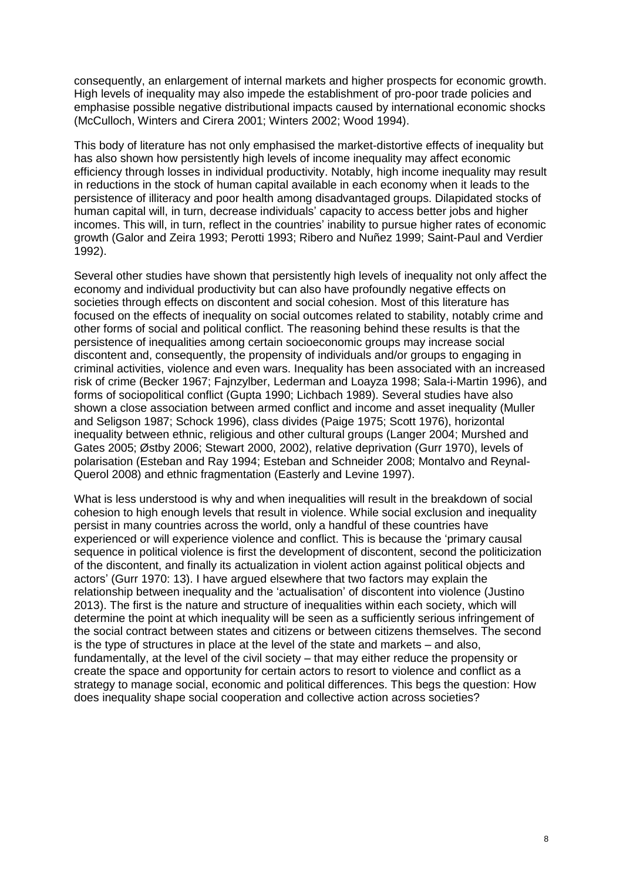consequently, an enlargement of internal markets and higher prospects for economic growth. High levels of inequality may also impede the establishment of pro-poor trade policies and emphasise possible negative distributional impacts caused by international economic shocks (McCulloch, Winters and Cirera 2001; Winters 2002; Wood 1994).

This body of literature has not only emphasised the market-distortive effects of inequality but has also shown how persistently high levels of income inequality may affect economic efficiency through losses in individual productivity. Notably, high income inequality may result in reductions in the stock of human capital available in each economy when it leads to the persistence of illiteracy and poor health among disadvantaged groups. Dilapidated stocks of human capital will, in turn, decrease individuals' capacity to access better jobs and higher incomes. This will, in turn, reflect in the countries' inability to pursue higher rates of economic growth (Galor and Zeira 1993; Perotti 1993; Ribero and Nuñez 1999; Saint-Paul and Verdier 1992).

Several other studies have shown that persistently high levels of inequality not only affect the economy and individual productivity but can also have profoundly negative effects on societies through effects on discontent and social cohesion. Most of this literature has focused on the effects of inequality on social outcomes related to stability, notably crime and other forms of social and political conflict. The reasoning behind these results is that the persistence of inequalities among certain socioeconomic groups may increase social discontent and, consequently, the propensity of individuals and/or groups to engaging in criminal activities, violence and even wars. Inequality has been associated with an increased risk of crime (Becker 1967; Fajnzylber, Lederman and Loayza 1998; Sala-i-Martin 1996), and forms of sociopolitical conflict (Gupta 1990; Lichbach 1989). Several studies have also shown a close association between armed conflict and income and asset inequality (Muller and Seligson 1987; Schock 1996), class divides (Paige 1975; Scott 1976), horizontal inequality between ethnic, religious and other cultural groups (Langer 2004; Murshed and Gates 2005; Østby 2006; Stewart 2000, 2002), relative deprivation (Gurr 1970), levels of polarisation (Esteban and Ray 1994; Esteban and Schneider 2008; Montalvo and Reynal-Querol 2008) and ethnic fragmentation (Easterly and Levine 1997).

<span id="page-7-0"></span>What is less understood is why and when inequalities will result in the breakdown of social cohesion to high enough levels that result in violence. While social exclusion and inequality persist in many countries across the world, only a handful of these countries have experienced or will experience violence and conflict. This is because the 'primary causal sequence in political violence is first the development of discontent, second the politicization of the discontent, and finally its actualization in violent action against political objects and actors' (Gurr 1970: 13). I have argued elsewhere that two factors may explain the relationship between inequality and the 'actualisation' of discontent into violence (Justino 2013). The first is the nature and structure of inequalities within each society, which will determine the point at which inequality will be seen as a sufficiently serious infringement of the social contract between states and citizens or between citizens themselves. The second is the type of structures in place at the level of the state and markets – and also, fundamentally, at the level of the civil society – that may either reduce the propensity or create the space and opportunity for certain actors to resort to violence and conflict as a strategy to manage social, economic and political differences. This begs the question: How does inequality shape social cooperation and collective action across societies?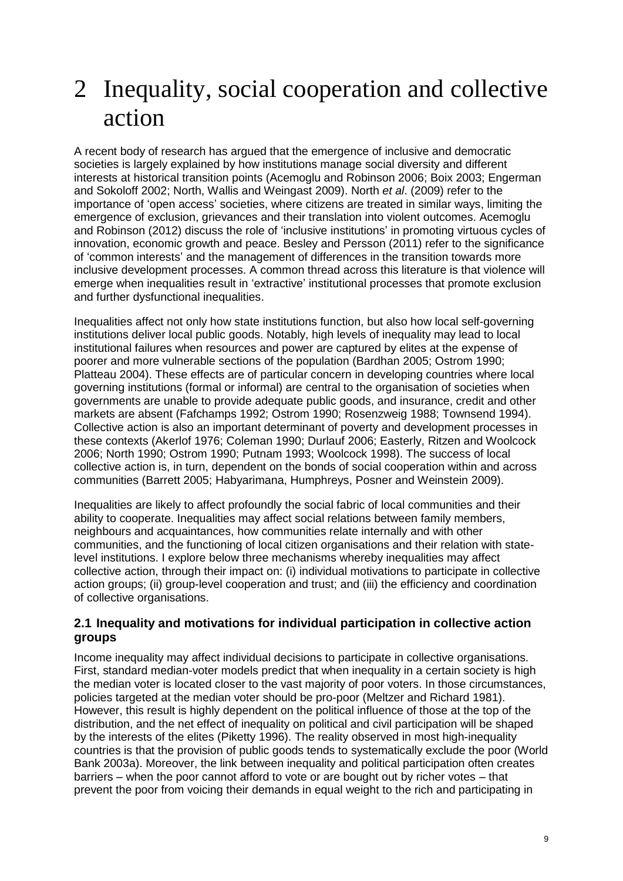### 2 Inequality, social cooperation and collective action

A recent body of research has argued that the emergence of inclusive and democratic societies is largely explained by how institutions manage social diversity and different interests at historical transition points (Acemoglu and Robinson 2006; Boix 2003; Engerman and Sokoloff 2002; North, Wallis and Weingast 2009). North *et al*. (2009) refer to the importance of 'open access' societies, where citizens are treated in similar ways, limiting the emergence of exclusion, grievances and their translation into violent outcomes. Acemoglu and Robinson (2012) discuss the role of 'inclusive institutions' in promoting virtuous cycles of innovation, economic growth and peace. Besley and Persson (2011) refer to the significance of 'common interests' and the management of differences in the transition towards more inclusive development processes. A common thread across this literature is that violence will emerge when inequalities result in 'extractive' institutional processes that promote exclusion and further dysfunctional inequalities.

Inequalities affect not only how state institutions function, but also how local self-governing institutions deliver local public goods. Notably, high levels of inequality may lead to local institutional failures when resources and power are captured by elites at the expense of poorer and more vulnerable sections of the population (Bardhan 2005; Ostrom 1990; Platteau 2004). These effects are of particular concern in developing countries where local governing institutions (formal or informal) are central to the organisation of societies when governments are unable to provide adequate public goods, and insurance, credit and other markets are absent (Fafchamps 1992; Ostrom 1990; Rosenzweig 1988; Townsend 1994). Collective action is also an important determinant of poverty and development processes in these contexts (Akerlof 1976; Coleman 1990; Durlauf 2006; Easterly, Ritzen and Woolcock 2006; North 1990; Ostrom 1990; Putnam 1993; Woolcock 1998). The success of local collective action is, in turn, dependent on the bonds of social cooperation within and across communities (Barrett 2005; Habyarimana, Humphreys, Posner and Weinstein 2009).

Inequalities are likely to affect profoundly the social fabric of local communities and their ability to cooperate. Inequalities may affect social relations between family members, neighbours and acquaintances, how communities relate internally and with other communities, and the functioning of local citizen organisations and their relation with statelevel institutions. I explore below three mechanisms whereby inequalities may affect collective action, through their impact on: (i) individual motivations to participate in collective action groups; (ii) group-level cooperation and trust; and (iii) the efficiency and coordination of collective organisations.

#### <span id="page-8-0"></span>**2.1 Inequality and motivations for individual participation in collective action groups**

Income inequality may affect individual decisions to participate in collective organisations. First, standard median-voter models predict that when inequality in a certain society is high the median voter is located closer to the vast majority of poor voters. In those circumstances, policies targeted at the median voter should be pro-poor (Meltzer and Richard 1981). However, this result is highly dependent on the political influence of those at the top of the distribution, and the net effect of inequality on political and civil participation will be shaped by the interests of the elites (Piketty 1996). The reality observed in most high-inequality countries is that the provision of public goods tends to systematically exclude the poor (World Bank 2003a). Moreover, the link between inequality and political participation often creates barriers – when the poor cannot afford to vote or are bought out by richer votes – that prevent the poor from voicing their demands in equal weight to the rich and participating in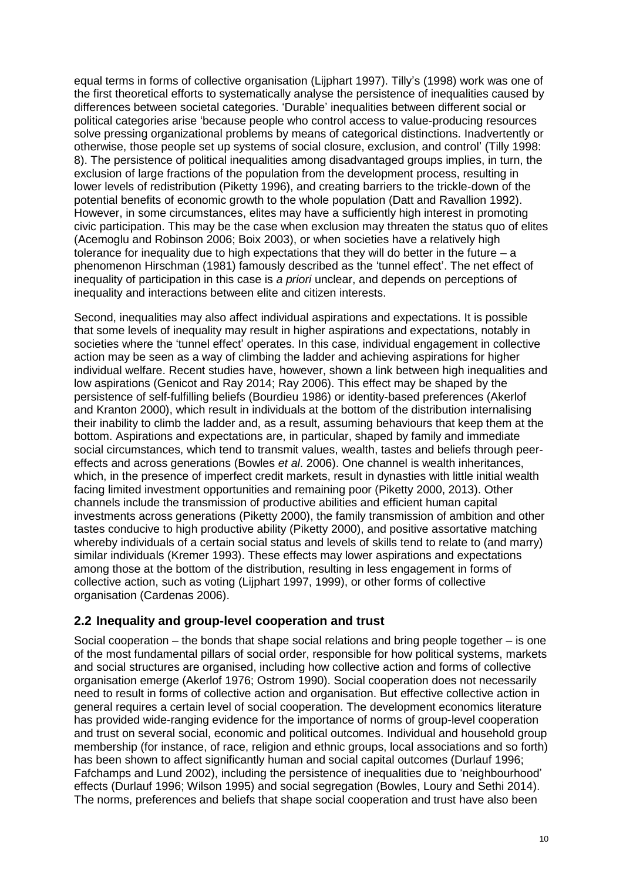equal terms in forms of collective organisation (Lijphart 1997). Tilly's (1998) work was one of the first theoretical efforts to systematically analyse the persistence of inequalities caused by differences between societal categories. 'Durable' inequalities between different social or political categories arise 'because people who control access to value-producing resources solve pressing organizational problems by means of categorical distinctions. Inadvertently or otherwise, those people set up systems of social closure, exclusion, and control' (Tilly 1998: 8). The persistence of political inequalities among disadvantaged groups implies, in turn, the exclusion of large fractions of the population from the development process, resulting in lower levels of redistribution (Piketty 1996), and creating barriers to the trickle-down of the potential benefits of economic growth to the whole population (Datt and Ravallion 1992). However, in some circumstances, elites may have a sufficiently high interest in promoting civic participation. This may be the case when exclusion may threaten the status quo of elites (Acemoglu and Robinson 2006; Boix 2003), or when societies have a relatively high tolerance for inequality due to high expectations that they will do better in the future – a phenomenon Hirschman (1981) famously described as the 'tunnel effect'. The net effect of inequality of participation in this case is *a priori* unclear, and depends on perceptions of inequality and interactions between elite and citizen interests.

Second, inequalities may also affect individual aspirations and expectations. It is possible that some levels of inequality may result in higher aspirations and expectations, notably in societies where the 'tunnel effect' operates. In this case, individual engagement in collective action may be seen as a way of climbing the ladder and achieving aspirations for higher individual welfare. Recent studies have, however, shown a link between high inequalities and low aspirations (Genicot and Ray 2014; Ray 2006). This effect may be shaped by the persistence of self-fulfilling beliefs (Bourdieu 1986) or identity-based preferences (Akerlof and Kranton 2000), which result in individuals at the bottom of the distribution internalising their inability to climb the ladder and, as a result, assuming behaviours that keep them at the bottom. Aspirations and expectations are, in particular, shaped by family and immediate social circumstances, which tend to transmit values, wealth, tastes and beliefs through peereffects and across generations (Bowles *et al*. 2006). One channel is wealth inheritances, which, in the presence of imperfect credit markets, result in dynasties with little initial wealth facing limited investment opportunities and remaining poor (Piketty 2000, 2013). Other channels include the transmission of productive abilities and efficient human capital investments across generations (Piketty 2000), the family transmission of ambition and other tastes conducive to high productive ability (Piketty 2000), and positive assortative matching whereby individuals of a certain social status and levels of skills tend to relate to (and marry) similar individuals (Kremer 1993). These effects may lower aspirations and expectations among those at the bottom of the distribution, resulting in less engagement in forms of collective action, such as voting (Lijphart 1997, 1999), or other forms of collective organisation (Cardenas 2006).

#### <span id="page-9-0"></span>**2.2 Inequality and group-level cooperation and trust**

Social cooperation – the bonds that shape social relations and bring people together – is one of the most fundamental pillars of social order, responsible for how political systems, markets and social structures are organised, including how collective action and forms of collective organisation emerge (Akerlof 1976; Ostrom 1990). Social cooperation does not necessarily need to result in forms of collective action and organisation. But effective collective action in general requires a certain level of social cooperation. The development economics literature has provided wide-ranging evidence for the importance of norms of group-level cooperation and trust on several social, economic and political outcomes. Individual and household group membership (for instance, of race, religion and ethnic groups, local associations and so forth) has been shown to affect significantly human and social capital outcomes (Durlauf 1996; Fafchamps and Lund 2002), including the persistence of inequalities due to 'neighbourhood' effects (Durlauf 1996; Wilson 1995) and social segregation (Bowles, Loury and Sethi 2014). The norms, preferences and beliefs that shape social cooperation and trust have also been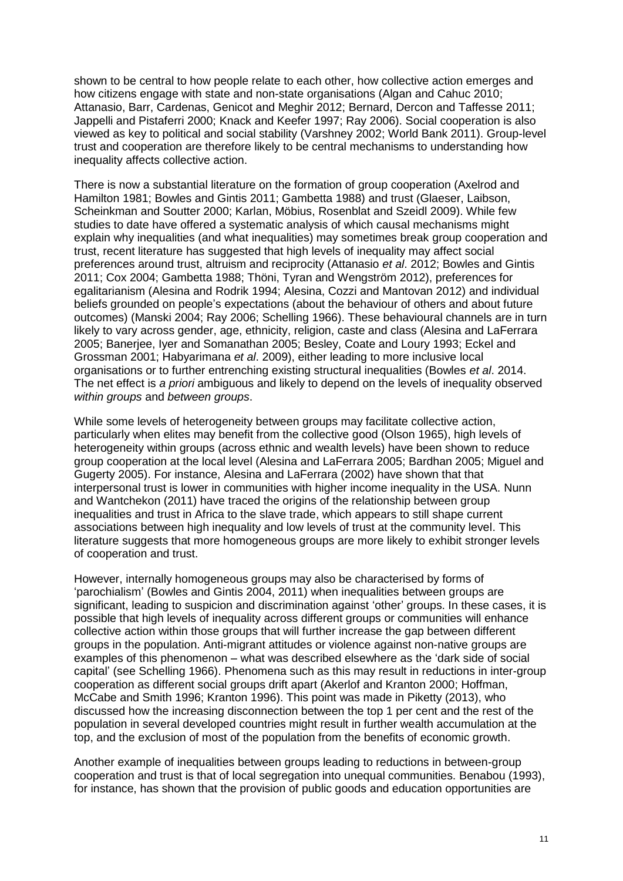shown to be central to how people relate to each other, how collective action emerges and how citizens engage with state and non-state organisations (Algan and Cahuc 2010; Attanasio, Barr, Cardenas, Genicot and Meghir 2012; Bernard, Dercon and Taffesse 2011; Jappelli and Pistaferri 2000; Knack and Keefer 1997; Ray 2006). Social cooperation is also viewed as key to political and social stability (Varshney 2002; World Bank 2011). Group-level trust and cooperation are therefore likely to be central mechanisms to understanding how inequality affects collective action.

There is now a substantial literature on the formation of group cooperation (Axelrod and Hamilton 1981; Bowles and Gintis 2011; Gambetta 1988) and trust (Glaeser, Laibson, Scheinkman and Soutter 2000; Karlan, Möbius, Rosenblat and Szeidl 2009). While few studies to date have offered a systematic analysis of which causal mechanisms might explain why inequalities (and what inequalities) may sometimes break group cooperation and trust, recent literature has suggested that high levels of inequality may affect social preferences around trust, altruism and reciprocity (Attanasio *et al*. 2012; Bowles and Gintis 2011; Cox 2004; Gambetta 1988; Thöni, Tyran and Wengström 2012), preferences for egalitarianism (Alesina and Rodrik 1994; Alesina, Cozzi and Mantovan 2012) and individual beliefs grounded on people's expectations (about the behaviour of others and about future outcomes) (Manski 2004; Ray 2006; Schelling 1966). These behavioural channels are in turn likely to vary across gender, age, ethnicity, religion, caste and class (Alesina and LaFerrara 2005; Banerjee, Iyer and Somanathan 2005; Besley, Coate and Loury 1993; Eckel and Grossman 2001; Habyarimana *et al*. 2009), either leading to more inclusive local organisations or to further entrenching existing structural inequalities (Bowles *et al*. 2014. The net effect is *a priori* ambiguous and likely to depend on the levels of inequality observed *within groups* and *between groups*.

While some levels of heterogeneity between groups may facilitate collective action, particularly when elites may benefit from the collective good (Olson 1965), high levels of heterogeneity within groups (across ethnic and wealth levels) have been shown to reduce group cooperation at the local level (Alesina and LaFerrara 2005; Bardhan 2005; Miguel and Gugerty 2005). For instance, Alesina and LaFerrara (2002) have shown that that interpersonal trust is lower in communities with higher income inequality in the USA. Nunn and Wantchekon (2011) have traced the origins of the relationship between group inequalities and trust in Africa to the slave trade, which appears to still shape current associations between high inequality and low levels of trust at the community level. This literature suggests that more homogeneous groups are more likely to exhibit stronger levels of cooperation and trust.

However, internally homogeneous groups may also be characterised by forms of 'parochialism' (Bowles and Gintis 2004, 2011) when inequalities between groups are significant. leading to suspicion and discrimination against 'other' groups. In these cases, it is possible that high levels of inequality across different groups or communities will enhance collective action within those groups that will further increase the gap between different groups in the population. Anti-migrant attitudes or violence against non-native groups are examples of this phenomenon – what was described elsewhere as the 'dark side of social capital' (see Schelling 1966). Phenomena such as this may result in reductions in inter-group cooperation as different social groups drift apart (Akerlof and Kranton 2000; Hoffman, McCabe and Smith 1996; Kranton 1996). This point was made in Piketty (2013), who discussed how the increasing disconnection between the top 1 per cent and the rest of the population in several developed countries might result in further wealth accumulation at the top, and the exclusion of most of the population from the benefits of economic growth.

Another example of inequalities between groups leading to reductions in between-group cooperation and trust is that of local segregation into unequal communities. Benabou (1993), for instance, has shown that the provision of public goods and education opportunities are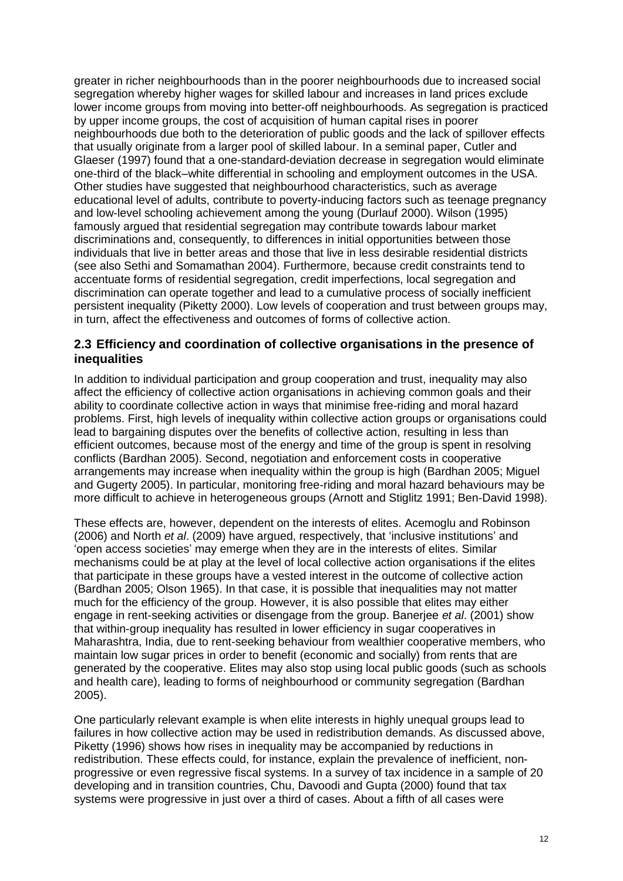greater in richer neighbourhoods than in the poorer neighbourhoods due to increased social segregation whereby higher wages for skilled labour and increases in land prices exclude lower income groups from moving into better-off neighbourhoods. As segregation is practiced by upper income groups, the cost of acquisition of human capital rises in poorer neighbourhoods due both to the deterioration of public goods and the lack of spillover effects that usually originate from a larger pool of skilled labour. In a seminal paper, Cutler and Glaeser (1997) found that a one-standard-deviation decrease in segregation would eliminate one-third of the black–white differential in schooling and employment outcomes in the USA. Other studies have suggested that neighbourhood characteristics, such as average educational level of adults, contribute to poverty-inducing factors such as teenage pregnancy and low-level schooling achievement among the young (Durlauf 2000). Wilson (1995) famously argued that residential segregation may contribute towards labour market discriminations and, consequently, to differences in initial opportunities between those individuals that live in better areas and those that live in less desirable residential districts (see also Sethi and Somamathan 2004). Furthermore, because credit constraints tend to accentuate forms of residential segregation, credit imperfections, local segregation and discrimination can operate together and lead to a cumulative process of socially inefficient persistent inequality (Piketty 2000). Low levels of cooperation and trust between groups may, in turn, affect the effectiveness and outcomes of forms of collective action.

#### <span id="page-11-0"></span>**2.3 Efficiency and coordination of collective organisations in the presence of inequalities**

In addition to individual participation and group cooperation and trust, inequality may also affect the efficiency of collective action organisations in achieving common goals and their ability to coordinate collective action in ways that minimise free-riding and moral hazard problems. First, high levels of inequality within collective action groups or organisations could lead to bargaining disputes over the benefits of collective action, resulting in less than efficient outcomes, because most of the energy and time of the group is spent in resolving conflicts (Bardhan 2005). Second, negotiation and enforcement costs in cooperative arrangements may increase when inequality within the group is high (Bardhan 2005; Miguel and Gugerty 2005). In particular, monitoring free-riding and moral hazard behaviours may be more difficult to achieve in heterogeneous groups (Arnott and Stiglitz 1991; Ben-David 1998).

These effects are, however, dependent on the interests of elites. Acemoglu and Robinson (2006) and North *et al*. (2009) have argued, respectively, that 'inclusive institutions' and 'open access societies' may emerge when they are in the interests of elites. Similar mechanisms could be at play at the level of local collective action organisations if the elites that participate in these groups have a vested interest in the outcome of collective action (Bardhan 2005; Olson 1965). In that case, it is possible that inequalities may not matter much for the efficiency of the group. However, it is also possible that elites may either engage in rent-seeking activities or disengage from the group. Banerjee *et al*. (2001) show that within-group inequality has resulted in lower efficiency in sugar cooperatives in Maharashtra, India, due to rent-seeking behaviour from wealthier cooperative members, who maintain low sugar prices in order to benefit (economic and socially) from rents that are generated by the cooperative. Elites may also stop using local public goods (such as schools and health care), leading to forms of neighbourhood or community segregation (Bardhan 2005).

One particularly relevant example is when elite interests in highly unequal groups lead to failures in how collective action may be used in redistribution demands. As discussed above, Piketty (1996) shows how rises in inequality may be accompanied by reductions in redistribution. These effects could, for instance, explain the prevalence of inefficient, nonprogressive or even regressive fiscal systems. In a survey of tax incidence in a sample of 20 developing and in transition countries, Chu, Davoodi and Gupta (2000) found that tax systems were progressive in just over a third of cases. About a fifth of all cases were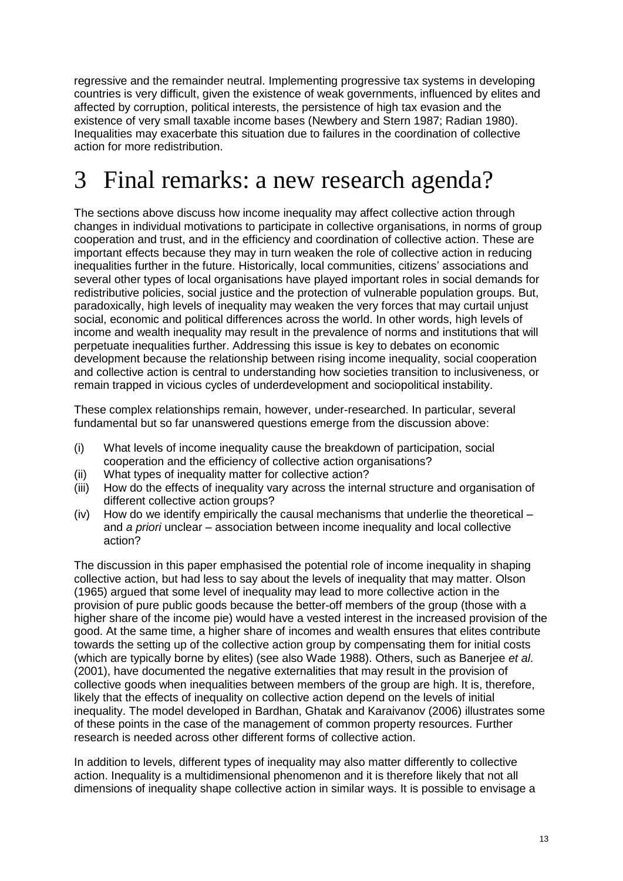regressive and the remainder neutral. Implementing progressive tax systems in developing countries is very difficult, given the existence of weak governments, influenced by elites and affected by corruption, political interests, the persistence of high tax evasion and the existence of very small taxable income bases (Newbery and Stern 1987; Radian 1980). Inequalities may exacerbate this situation due to failures in the coordination of collective action for more redistribution.

### <span id="page-12-0"></span>3 Final remarks: a new research agenda?

The sections above discuss how income inequality may affect collective action through changes in individual motivations to participate in collective organisations, in norms of group cooperation and trust, and in the efficiency and coordination of collective action. These are important effects because they may in turn weaken the role of collective action in reducing inequalities further in the future. Historically, local communities, citizens' associations and several other types of local organisations have played important roles in social demands for redistributive policies, social justice and the protection of vulnerable population groups. But, paradoxically, high levels of inequality may weaken the very forces that may curtail unjust social, economic and political differences across the world. In other words, high levels of income and wealth inequality may result in the prevalence of norms and institutions that will perpetuate inequalities further. Addressing this issue is key to debates on economic development because the relationship between rising income inequality, social cooperation and collective action is central to understanding how societies transition to inclusiveness, or remain trapped in vicious cycles of underdevelopment and sociopolitical instability.

These complex relationships remain, however, under-researched. In particular, several fundamental but so far unanswered questions emerge from the discussion above:

- (i) What levels of income inequality cause the breakdown of participation, social cooperation and the efficiency of collective action organisations?
- (ii) What types of inequality matter for collective action?
- (iii) How do the effects of inequality vary across the internal structure and organisation of different collective action groups?
- (iv) How do we identify empirically the causal mechanisms that underlie the theoretical and *a priori* unclear – association between income inequality and local collective action?

The discussion in this paper emphasised the potential role of income inequality in shaping collective action, but had less to say about the levels of inequality that may matter. Olson (1965) argued that some level of inequality may lead to more collective action in the provision of pure public goods because the better-off members of the group (those with a higher share of the income pie) would have a vested interest in the increased provision of the good. At the same time, a higher share of incomes and wealth ensures that elites contribute towards the setting up of the collective action group by compensating them for initial costs (which are typically borne by elites) (see also Wade 1988). Others, such as Banerjee *et al*. (2001), have documented the negative externalities that may result in the provision of collective goods when inequalities between members of the group are high. It is, therefore, likely that the effects of inequality on collective action depend on the levels of initial inequality. The model developed in Bardhan, Ghatak and Karaivanov (2006) illustrates some of these points in the case of the management of common property resources. Further research is needed across other different forms of collective action.

In addition to levels, different types of inequality may also matter differently to collective action. Inequality is a multidimensional phenomenon and it is therefore likely that not all dimensions of inequality shape collective action in similar ways. It is possible to envisage a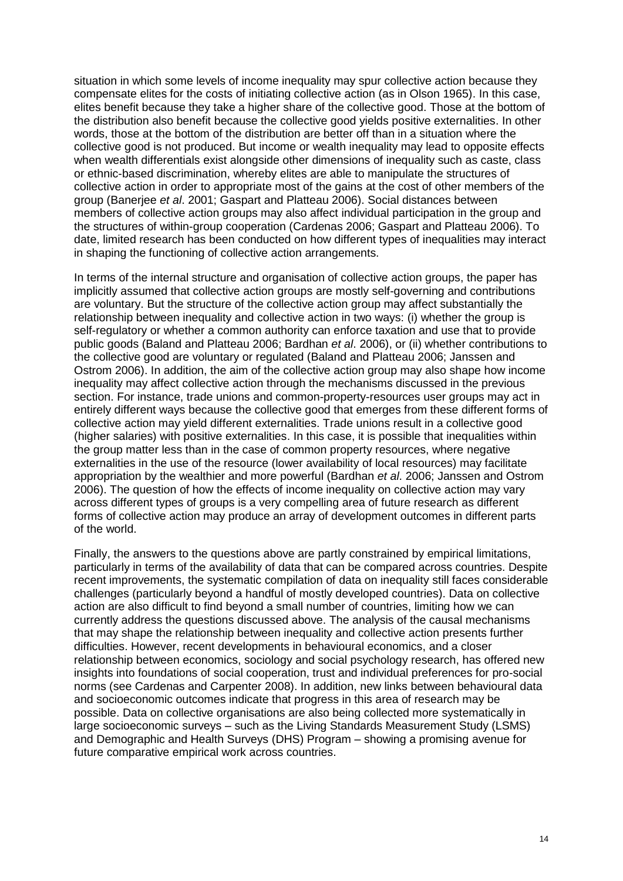situation in which some levels of income inequality may spur collective action because they compensate elites for the costs of initiating collective action (as in Olson 1965). In this case, elites benefit because they take a higher share of the collective good. Those at the bottom of the distribution also benefit because the collective good yields positive externalities. In other words, those at the bottom of the distribution are better off than in a situation where the collective good is not produced. But income or wealth inequality may lead to opposite effects when wealth differentials exist alongside other dimensions of inequality such as caste, class or ethnic-based discrimination, whereby elites are able to manipulate the structures of collective action in order to appropriate most of the gains at the cost of other members of the group (Banerjee *et al*. 2001; Gaspart and Platteau 2006). Social distances between members of collective action groups may also affect individual participation in the group and the structures of within-group cooperation (Cardenas 2006; Gaspart and Platteau 2006). To date, limited research has been conducted on how different types of inequalities may interact in shaping the functioning of collective action arrangements.

In terms of the internal structure and organisation of collective action groups, the paper has implicitly assumed that collective action groups are mostly self-governing and contributions are voluntary. But the structure of the collective action group may affect substantially the relationship between inequality and collective action in two ways: (i) whether the group is self-regulatory or whether a common authority can enforce taxation and use that to provide public goods (Baland and Platteau 2006; Bardhan *et al*. 2006), or (ii) whether contributions to the collective good are voluntary or regulated (Baland and Platteau 2006; Janssen and Ostrom 2006). In addition, the aim of the collective action group may also shape how income inequality may affect collective action through the mechanisms discussed in the previous section. For instance, trade unions and common-property-resources user groups may act in entirely different ways because the collective good that emerges from these different forms of collective action may yield different externalities. Trade unions result in a collective good (higher salaries) with positive externalities. In this case, it is possible that inequalities within the group matter less than in the case of common property resources, where negative externalities in the use of the resource (lower availability of local resources) may facilitate appropriation by the wealthier and more powerful (Bardhan *et al*. 2006; Janssen and Ostrom 2006). The question of how the effects of income inequality on collective action may vary across different types of groups is a very compelling area of future research as different forms of collective action may produce an array of development outcomes in different parts of the world.

<span id="page-13-0"></span>Finally, the answers to the questions above are partly constrained by empirical limitations, particularly in terms of the availability of data that can be compared across countries. Despite recent improvements, the systematic compilation of data on inequality still faces considerable challenges (particularly beyond a handful of mostly developed countries). Data on collective action are also difficult to find beyond a small number of countries, limiting how we can currently address the questions discussed above. The analysis of the causal mechanisms that may shape the relationship between inequality and collective action presents further difficulties. However, recent developments in behavioural economics, and a closer relationship between economics, sociology and social psychology research, has offered new insights into foundations of social cooperation, trust and individual preferences for pro-social norms (see Cardenas and Carpenter 2008). In addition, new links between behavioural data and socioeconomic outcomes indicate that progress in this area of research may be possible. Data on collective organisations are also being collected more systematically in large socioeconomic surveys – such as the Living Standards Measurement Study (LSMS) and Demographic and Health Surveys (DHS) Program – showing a promising avenue for future comparative empirical work across countries.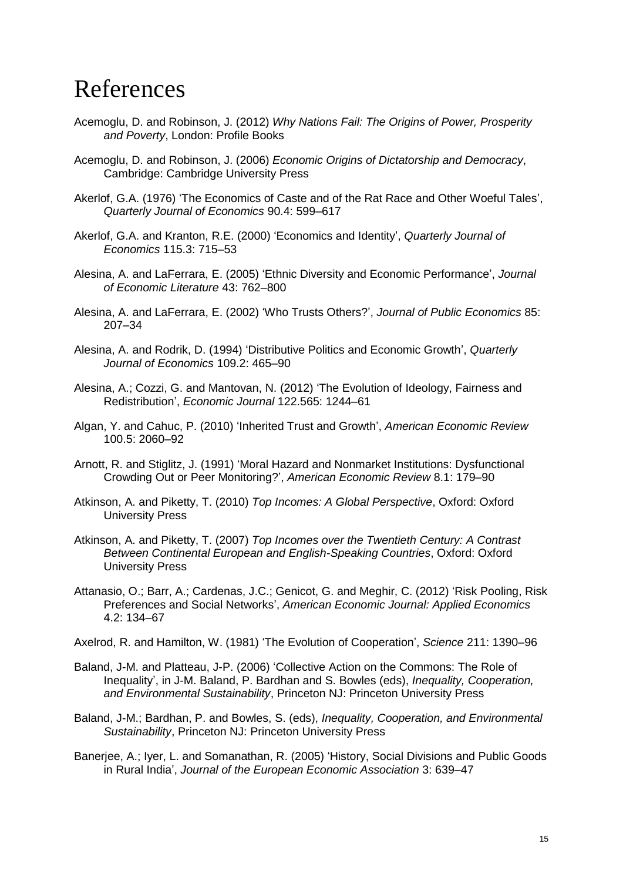#### References

- Acemoglu, D. and Robinson, J. (2012) *Why Nations Fail: The Origins of Power, Prosperity and Poverty*, London: Profile Books
- Acemoglu, D. and Robinson, J. (2006) *Economic Origins of Dictatorship and Democracy*, Cambridge: Cambridge University Press
- Akerlof, G.A. (1976) 'The Economics of Caste and of the Rat Race and Other Woeful Tales', *Quarterly Journal of Economics* 90.4: 599–617
- Akerlof, G.A. and Kranton, R.E. (2000) 'Economics and Identity', *Quarterly Journal of Economics* 115.3: 715–53
- Alesina, A. and LaFerrara, E. (2005) 'Ethnic Diversity and Economic Performance', *Journal of Economic Literature* 43: 762–800
- Alesina, A. and LaFerrara, E. (2002) 'Who Trusts Others?', *Journal of Public Economics* 85: 207–34
- Alesina, A. and Rodrik, D. (1994) 'Distributive Politics and Economic Growth', *Quarterly Journal of Economics* 109.2: 465–90
- Alesina, A.; Cozzi, G. and Mantovan, N. (2012) 'The Evolution of Ideology, Fairness and Redistribution', *Economic Journal* 122.565: 1244–61
- Algan, Y. and Cahuc, P. (2010) 'Inherited Trust and Growth', *American Economic Review* 100.5: 2060–92
- Arnott, R. and Stiglitz, J. (1991) 'Moral Hazard and Nonmarket Institutions: Dysfunctional Crowding Out or Peer Monitoring?', *American Economic Review* 8.1: 179–90
- Atkinson, A. and Piketty, T. (2010) *Top Incomes: A Global Perspective*, Oxford: Oxford University Press
- Atkinson, A. and Piketty, T. (2007) *Top Incomes over the Twentieth Century: A Contrast Between Continental European and English-Speaking Countries*, Oxford: Oxford University Press
- Attanasio, O.; Barr, A.; Cardenas, J.C.; Genicot, G. and Meghir, C. (2012) 'Risk Pooling, Risk Preferences and Social Networks', *American Economic Journal: Applied Economics* 4.2: 134–67

Axelrod, R. and Hamilton, W. (1981) 'The Evolution of Cooperation', *Science* 211: 1390–96

- Baland, J-M. and Platteau, J-P. (2006) 'Collective Action on the Commons: The Role of Inequality', in J-M. Baland, P. Bardhan and S. Bowles (eds), *Inequality, Cooperation, and Environmental Sustainability*, Princeton NJ: Princeton University Press
- Baland, J-M.; Bardhan, P. and Bowles, S. (eds), *Inequality, Cooperation, and Environmental Sustainability*, Princeton NJ: Princeton University Press
- Banerjee, A.; Iyer, L. and Somanathan, R. (2005) 'History, Social Divisions and Public Goods in Rural India', *Journal of the European Economic Association* 3: 639–47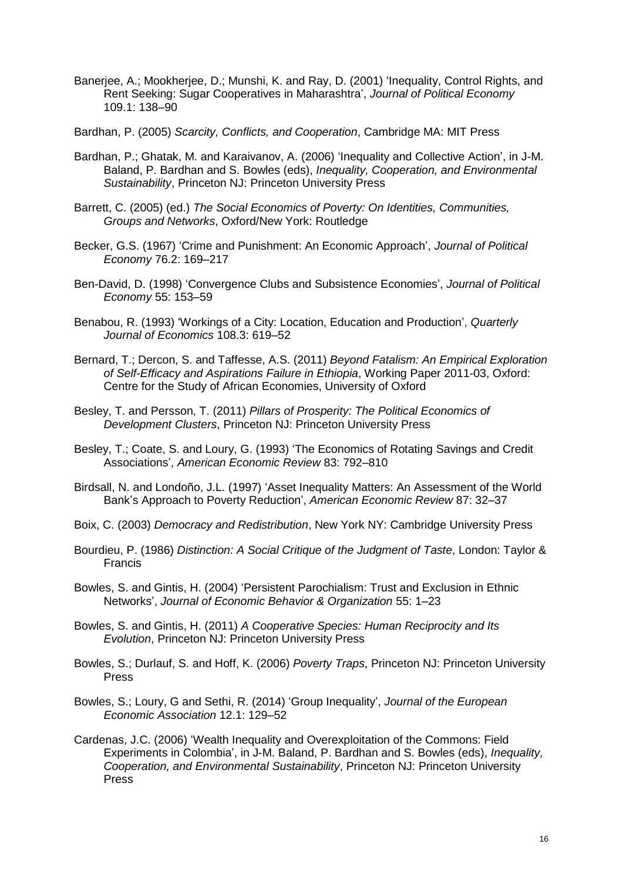- Banerjee, A.; Mookherjee, D.; Munshi, K. and Ray, D. (2001) 'Inequality, Control Rights, and Rent Seeking: Sugar Cooperatives in Maharashtra', *Journal of Political Economy* 109.1: 138–90
- Bardhan, P. (2005) *Scarcity, Conflicts, and Cooperation*, Cambridge MA: MIT Press
- Bardhan, P.; Ghatak, M. and Karaivanov, A. (2006) 'Inequality and Collective Action', in J-M. Baland, P. Bardhan and S. Bowles (eds), *Inequality, Cooperation, and Environmental Sustainability*, Princeton NJ: Princeton University Press
- Barrett, C. (2005) (ed.) *The Social Economics of Poverty: On Identities, Communities, Groups and Networks*, Oxford/New York: Routledge
- Becker, G.S. (1967) 'Crime and Punishment: An Economic Approach', *Journal of Political Economy* 76.2: 169–217
- Ben-David, D. (1998) 'Convergence Clubs and Subsistence Economies', *Journal of Political Economy* 55: 153–59
- Benabou, R. (1993) 'Workings of a City: Location, Education and Production', *Quarterly Journal of Economics* 108.3: 619–52
- Bernard, T.; Dercon, S. and Taffesse, A.S. (2011) *Beyond Fatalism: An Empirical Exploration of Self-Efficacy and Aspirations Failure in Ethiopia*, Working Paper 2011-03, Oxford: Centre for the Study of African Economies, University of Oxford
- Besley, T. and Persson, T. (2011) *Pillars of Prosperity: The Political Economics of Development Clusters*, Princeton NJ: Princeton University Press
- Besley, T.; Coate, S. and Loury, G. (1993) 'The Economics of Rotating Savings and Credit Associations', *American Economic Review* 83: 792–810
- Birdsall, N. and Londoño, J.L. (1997) 'Asset Inequality Matters: An Assessment of the World Bank's Approach to Poverty Reduction', *American Economic Review* 87: 32–37
- Boix, C. (2003) *Democracy and Redistribution*, New York NY: Cambridge University Press
- Bourdieu, P. (1986) *Distinction: A Social Critique of the Judgment of Taste*, London: Taylor & Francis
- Bowles, S. and Gintis, H. (2004) 'Persistent Parochialism: Trust and Exclusion in Ethnic Networks', *Journal of Economic Behavior & Organization* 55: 1–23
- Bowles, S. and Gintis, H. (2011) *A Cooperative Species: Human Reciprocity and Its Evolution*, Princeton NJ: Princeton University Press
- Bowles, S.; Durlauf, S. and Hoff, K. (2006) *Poverty Traps*, Princeton NJ: Princeton University Press
- Bowles, S.; Loury, G and Sethi, R. (2014) 'Group Inequality', *Journal of the European Economic Association* 12.1: 129–52
- Cardenas, J.C. (2006) 'Wealth Inequality and Overexploitation of the Commons: Field Experiments in Colombia', in J-M. Baland, P. Bardhan and S. Bowles (eds), *Inequality, Cooperation, and Environmental Sustainability*, Princeton NJ: Princeton University Press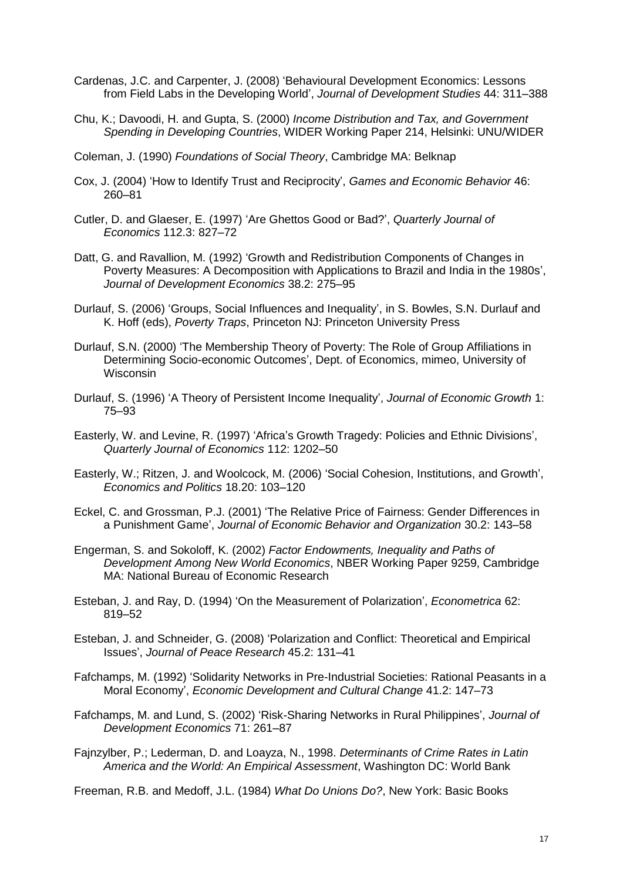- Cardenas, J.C. and Carpenter, J. (2008) 'Behavioural Development Economics: Lessons from Field Labs in the Developing World', *Journal of Development Studies* 44: 311–388
- Chu, K.; Davoodi, H. and Gupta, S. (2000) *Income Distribution and Tax, and Government Spending in Developing Countries*, WIDER Working Paper 214, Helsinki: UNU/WIDER
- Coleman, J. (1990) *Foundations of Social Theory*, Cambridge MA: Belknap
- Cox, J. (2004) 'How to Identify Trust and Reciprocity', *Games and Economic Behavior* 46: 260–81
- Cutler, D. and Glaeser, E. (1997) 'Are Ghettos Good or Bad?', *Quarterly Journal of Economics* 112.3: 827–72
- Datt, G. and Ravallion, M. (1992) 'Growth and Redistribution Components of Changes in Poverty Measures: A Decomposition with Applications to Brazil and India in the 1980s', *Journal of Development Economics* 38.2: 275–95
- Durlauf, S. (2006) 'Groups, Social Influences and Inequality', in S. Bowles, S.N. Durlauf and K. Hoff (eds), *Poverty Traps*, Princeton NJ: Princeton University Press
- Durlauf, S.N. (2000) 'The Membership Theory of Poverty: The Role of Group Affiliations in Determining Socio-economic Outcomes', Dept. of Economics, mimeo, University of **Wisconsin**
- Durlauf, S. (1996) 'A Theory of Persistent Income Inequality', *Journal of Economic Growth* 1: 75–93
- Easterly, W. and Levine, R. (1997) 'Africa's Growth Tragedy: Policies and Ethnic Divisions', *Quarterly Journal of Economics* 112: 1202–50
- Easterly, W.; Ritzen, J. and Woolcock, M. (2006) 'Social Cohesion, Institutions, and Growth', *Economics and Politics* 18.20: 103–120
- Eckel, C. and Grossman, P.J. (2001) 'The Relative Price of Fairness: Gender Differences in a Punishment Game', *Journal of Economic Behavior and Organization* 30.2: 143–58
- Engerman, S. and Sokoloff, K. (2002) *Factor Endowments, Inequality and Paths of Development Among New World Economics*, NBER Working Paper 9259, Cambridge MA: National Bureau of Economic Research
- Esteban, J. and Ray, D. (1994) 'On the Measurement of Polarization', *Econometrica* 62: 819–52
- Esteban, J. and Schneider, G. (2008) 'Polarization and Conflict: Theoretical and Empirical Issues', *Journal of Peace Research* 45.2: 131–41
- Fafchamps, M. (1992) 'Solidarity Networks in Pre-Industrial Societies: Rational Peasants in a Moral Economy', *Economic Development and Cultural Change* 41.2: 147–73
- Fafchamps, M. and Lund, S. (2002) 'Risk-Sharing Networks in Rural Philippines', *Journal of Development Economics* 71: 261–87
- Fajnzylber, P.; Lederman, D. and Loayza, N., 1998. *Determinants of Crime Rates in Latin America and the World: An Empirical Assessment*, Washington DC: World Bank
- Freeman, R.B. and Medoff, J.L. (1984) *What Do Unions Do?*, New York: Basic Books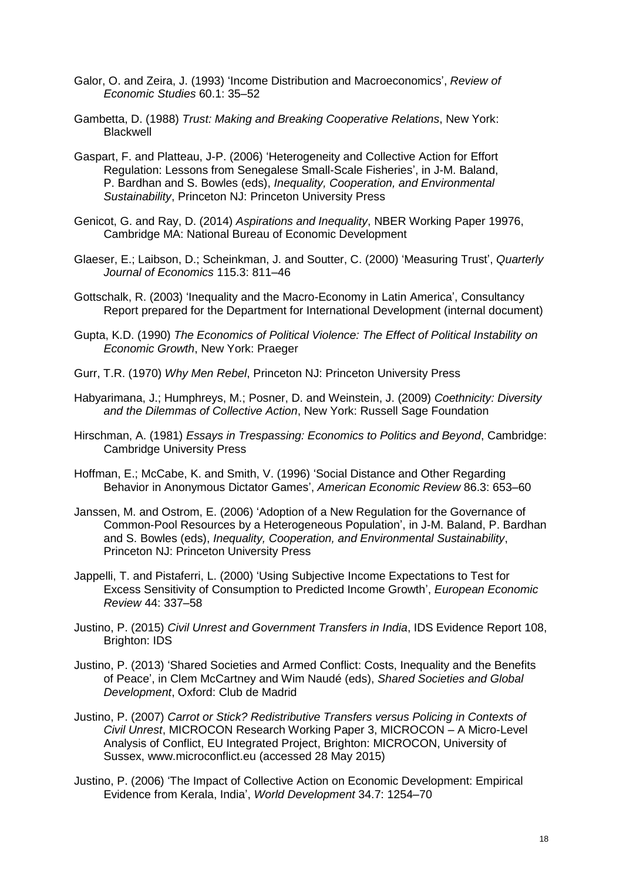- Galor, O. and Zeira, J. (1993) 'Income Distribution and Macroeconomics', *Review of Economic Studies* 60.1: 35–52
- Gambetta, D. (1988) *Trust: Making and Breaking Cooperative Relations*, New York: **Blackwell**
- Gaspart, F. and Platteau, J-P. (2006) 'Heterogeneity and Collective Action for Effort Regulation: Lessons from Senegalese Small-Scale Fisheries', in J-M. Baland, P. Bardhan and S. Bowles (eds), *Inequality, Cooperation, and Environmental Sustainability*, Princeton NJ: Princeton University Press
- Genicot, G. and Ray, D. (2014) *Aspirations and Inequality*, NBER Working Paper 19976, Cambridge MA: National Bureau of Economic Development
- Glaeser, E.; Laibson, D.; Scheinkman, J. and Soutter, C. (2000) 'Measuring Trust', *Quarterly Journal of Economics* 115.3: 811–46
- Gottschalk, R. (2003) 'Inequality and the Macro-Economy in Latin America', Consultancy Report prepared for the Department for International Development (internal document)
- Gupta, K.D. (1990) *The Economics of Political Violence: The Effect of Political Instability on Economic Growth*, New York: Praeger
- Gurr, T.R. (1970) *Why Men Rebel*, Princeton NJ: Princeton University Press
- Habyarimana, J.; Humphreys, M.; Posner, D. and Weinstein, J. (2009) *Coethnicity: Diversity and the Dilemmas of Collective Action*, New York: Russell Sage Foundation
- Hirschman, A. (1981) *Essays in Trespassing: Economics to Politics and Beyond*, Cambridge: Cambridge University Press
- Hoffman, E.; McCabe, K. and Smith, V. (1996) 'Social Distance and Other Regarding Behavior in Anonymous Dictator Games', *American Economic Review* 86.3: 653–60
- Janssen, M. and Ostrom, E. (2006) 'Adoption of a New Regulation for the Governance of Common-Pool Resources by a Heterogeneous Population', in J-M. Baland, P. Bardhan and S. Bowles (eds), *Inequality, Cooperation, and Environmental Sustainability*, Princeton NJ: Princeton University Press
- Jappelli, T. and Pistaferri, L. (2000) 'Using Subjective Income Expectations to Test for Excess Sensitivity of Consumption to Predicted Income Growth', *European Economic Review* 44: 337–58
- Justino, P. (2015) *Civil Unrest and Government Transfers in India*, IDS Evidence Report 108, Brighton: IDS
- Justino, P. (2013) 'Shared Societies and Armed Conflict: Costs, Inequality and the Benefits of Peace', in Clem McCartney and Wim Naudé (eds), *Shared Societies and Global Development*, Oxford: Club de Madrid
- Justino, P. (2007) *Carrot or Stick? Redistributive Transfers versus Policing in Contexts of Civil Unrest*, MICROCON Research Working Paper 3, MICROCON – A Micro-Level Analysis of Conflict, EU Integrated Project, Brighton: MICROCON, University of Sussex, www.microconflict.eu (accessed 28 May 2015)
- Justino, P. (2006) 'The Impact of Collective Action on Economic Development: Empirical Evidence from Kerala, India', *World Development* 34.7: 1254–70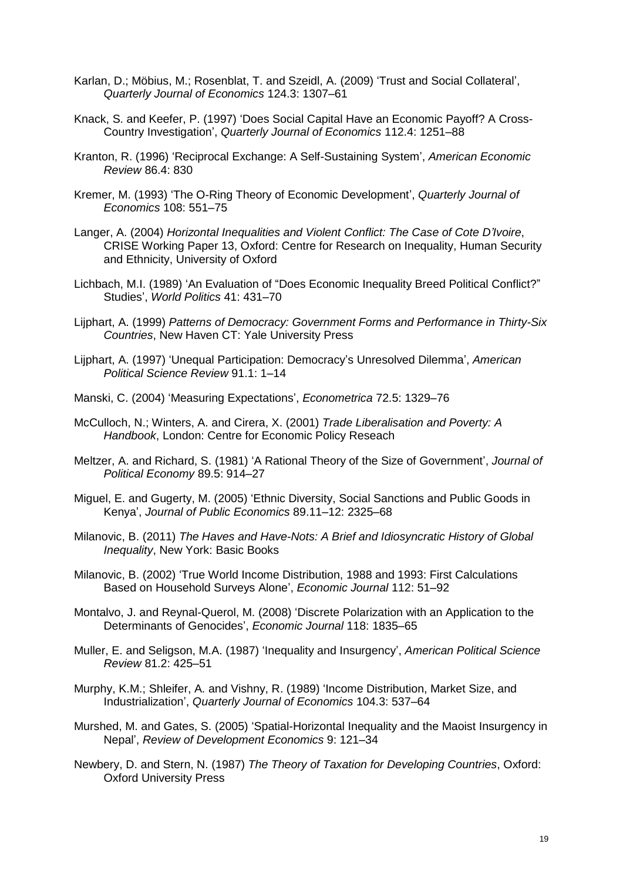- Karlan, D.; Möbius, M.; Rosenblat, T. and Szeidl, A. (2009) 'Trust and Social Collateral', *Quarterly Journal of Economics* 124.3: 1307–61
- Knack, S. and Keefer, P. (1997) 'Does Social Capital Have an Economic Payoff? A Cross-Country Investigation', *Quarterly Journal of Economics* 112.4: 1251–88
- Kranton, R. (1996) 'Reciprocal Exchange: A Self-Sustaining System', *American Economic Review* 86.4: 830
- Kremer, M. (1993) 'The O-Ring Theory of Economic Development', *Quarterly Journal of Economics* 108: 551–75
- Langer, A. (2004) *Horizontal Inequalities and Violent Conflict: The Case of Cote D'Ivoire*, CRISE Working Paper 13, Oxford: Centre for Research on Inequality, Human Security and Ethnicity, University of Oxford
- Lichbach, M.I. (1989) 'An Evaluation of "Does Economic Inequality Breed Political Conflict?" Studies', *World Politics* 41: 431–70
- Lijphart, A. (1999) *Patterns of Democracy: Government Forms and Performance in Thirty-Six Countries*, New Haven CT: Yale University Press
- Lijphart, A. (1997) 'Unequal Participation: Democracy's Unresolved Dilemma', *American Political Science Review* 91.1: 1–14
- Manski, C. (2004) 'Measuring Expectations', *Econometrica* 72.5: 1329–76
- McCulloch, N.; Winters, A. and Cirera, X. (2001) *Trade Liberalisation and Poverty: A Handbook*, London: Centre for Economic Policy Reseach
- Meltzer, A. and Richard, S. (1981) 'A Rational Theory of the Size of Government', *Journal of Political Economy* 89.5: 914–27
- Miguel, E. and Gugerty, M. (2005) 'Ethnic Diversity, Social Sanctions and Public Goods in Kenya', *Journal of Public Economics* 89.11–12: 2325–68
- Milanovic, B. (2011) *The Haves and Have-Nots: A Brief and Idiosyncratic History of Global Inequality*, New York: Basic Books
- Milanovic, B. (2002) 'True World Income Distribution, 1988 and 1993: First Calculations Based on Household Surveys Alone', *Economic Journal* 112: 51–92
- Montalvo, J. and Reynal-Querol, M. (2008) 'Discrete Polarization with an Application to the Determinants of Genocides', *Economic Journal* 118: 1835–65
- Muller, E. and Seligson, M.A. (1987) 'Inequality and Insurgency', *American Political Science Review* 81.2: 425–51
- Murphy, K.M.; Shleifer, A. and Vishny, R. (1989) 'Income Distribution, Market Size, and Industrialization', *Quarterly Journal of Economics* 104.3: 537–64
- Murshed, M. and Gates, S. (2005) 'Spatial-Horizontal Inequality and the Maoist Insurgency in Nepal', *Review of Development Economics* 9: 121–34
- Newbery, D. and Stern, N. (1987) *The Theory of Taxation for Developing Countries*, Oxford: Oxford University Press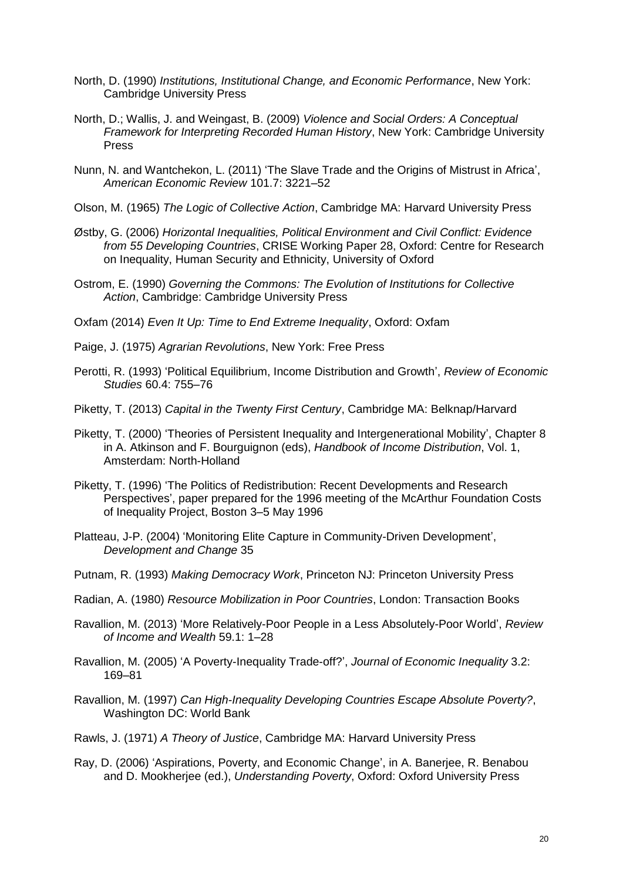- North, D. (1990) *Institutions, Institutional Change, and Economic Performance*, New York: Cambridge University Press
- North, D.; Wallis, J. and Weingast, B. (2009) *Violence and Social Orders: A Conceptual Framework for Interpreting Recorded Human History*, New York: Cambridge University Press
- Nunn, N. and Wantchekon, L. (2011) 'The Slave Trade and the Origins of Mistrust in Africa', *American Economic Review* 101.7: 3221–52
- Olson, M. (1965) *The Logic of Collective Action*, Cambridge MA: Harvard University Press
- Østby, G. (2006) *Horizontal Inequalities, Political Environment and Civil Conflict: Evidence from 55 Developing Countries*, CRISE Working Paper 28, Oxford: Centre for Research on Inequality, Human Security and Ethnicity, University of Oxford
- Ostrom, E. (1990) *Governing the Commons: The Evolution of Institutions for Collective Action*, Cambridge: Cambridge University Press
- Oxfam (2014) *Even It Up: Time to End Extreme Inequality*, Oxford: Oxfam
- Paige, J. (1975) *Agrarian Revolutions*, New York: Free Press
- Perotti, R. (1993) 'Political Equilibrium, Income Distribution and Growth', *Review of Economic Studies* 60.4: 755–76
- Piketty, T. (2013) *Capital in the Twenty First Century*, Cambridge MA: Belknap/Harvard
- Piketty, T. (2000) 'Theories of Persistent Inequality and Intergenerational Mobility', Chapter 8 in A. Atkinson and F. Bourguignon (eds), *Handbook of Income Distribution*, Vol. 1, Amsterdam: North-Holland
- Piketty, T. (1996) 'The Politics of Redistribution: Recent Developments and Research Perspectives', paper prepared for the 1996 meeting of the McArthur Foundation Costs of Inequality Project, Boston 3–5 May 1996
- Platteau, J-P. (2004) 'Monitoring Elite Capture in Community-Driven Development', *Development and Change* 35
- Putnam, R. (1993) *Making Democracy Work*, Princeton NJ: Princeton University Press
- Radian, A. (1980) *Resource Mobilization in Poor Countries*, London: Transaction Books
- Ravallion, M. (2013) 'More Relatively-Poor People in a Less Absolutely-Poor World', *Review of Income and Wealth* 59.1: 1–28
- Ravallion, M. (2005) 'A Poverty-Inequality Trade-off?', *Journal of Economic Inequality* 3.2: 169–81
- Ravallion, M. (1997) *Can High-Inequality Developing Countries Escape Absolute Poverty?*, Washington DC: World Bank
- Rawls, J. (1971) *A Theory of Justice*, Cambridge MA: Harvard University Press
- Ray, D. (2006) 'Aspirations, Poverty, and Economic Change', in A. Banerjee, R. Benabou and D. Mookherjee (ed.), *Understanding Poverty*, Oxford: Oxford University Press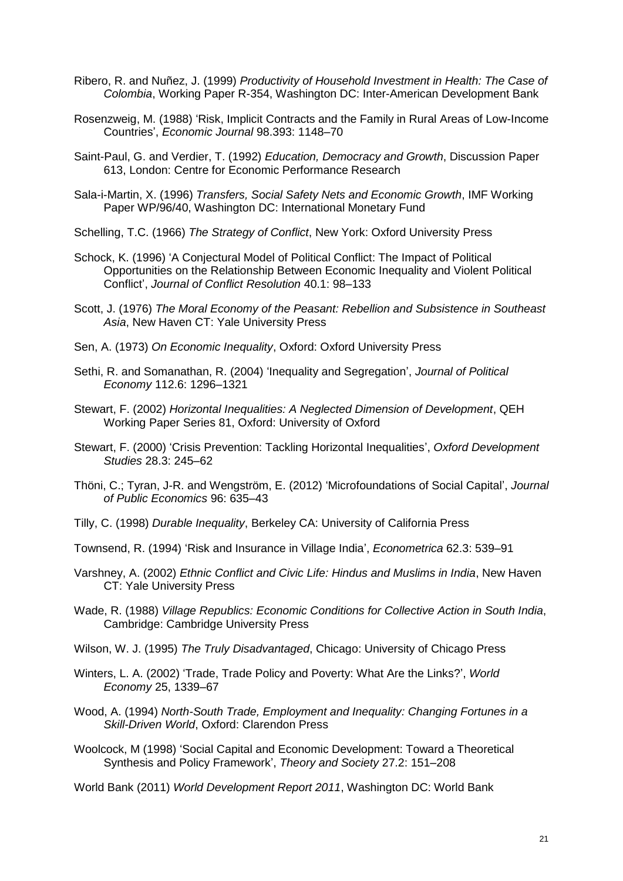- Ribero, R. and Nuñez, J. (1999) *Productivity of Household Investment in Health: The Case of Colombia*, Working Paper R-354, Washington DC: Inter-American Development Bank
- Rosenzweig, M. (1988) 'Risk, Implicit Contracts and the Family in Rural Areas of Low-Income Countries', *Economic Journal* 98.393: 1148–70
- Saint-Paul, G. and Verdier, T. (1992) *Education, Democracy and Growth*, Discussion Paper 613, London: Centre for Economic Performance Research
- Sala-i-Martin, X. (1996) *Transfers, Social Safety Nets and Economic Growth*, IMF Working Paper WP/96/40, Washington DC: International Monetary Fund
- Schelling, T.C. (1966) *The Strategy of Conflict*, New York: Oxford University Press
- Schock, K. (1996) 'A Conjectural Model of Political Conflict: The Impact of Political Opportunities on the Relationship Between Economic Inequality and Violent Political Conflict', *Journal of Conflict Resolution* 40.1: 98–133
- Scott, J. (1976) *The Moral Economy of the Peasant: Rebellion and Subsistence in Southeast Asia*, New Haven CT: Yale University Press
- Sen, A. (1973) *On Economic Inequality*, Oxford: Oxford University Press
- Sethi, R. and Somanathan, R. (2004) 'Inequality and Segregation', *Journal of Political Economy* 112.6: 1296–1321
- Stewart, F. (2002) *Horizontal Inequalities: A Neglected Dimension of Development*, QEH Working Paper Series 81, Oxford: University of Oxford
- Stewart, F. (2000) 'Crisis Prevention: Tackling Horizontal Inequalities', *Oxford Development Studies* 28.3: 245–62
- Thöni, C.; Tyran, J-R. and Wengström, E. (2012) 'Microfoundations of Social Capital', *Journal of Public Economics* 96: 635–43
- Tilly, C. (1998) *Durable Inequality*, Berkeley CA: University of California Press
- Townsend, R. (1994) 'Risk and Insurance in Village India', *Econometrica* 62.3: 539–91
- Varshney, A. (2002) *Ethnic Conflict and Civic Life: Hindus and Muslims in India*, New Haven CT: Yale University Press
- Wade, R. (1988) *Village Republics: Economic Conditions for Collective Action in South India*, Cambridge: Cambridge University Press
- Wilson, W. J. (1995) *The Truly Disadvantaged*, Chicago: University of Chicago Press
- Winters, L. A. (2002) 'Trade, Trade Policy and Poverty: What Are the Links?', *World Economy* 25, 1339–67
- Wood, A. (1994) *North-South Trade, Employment and Inequality: Changing Fortunes in a Skill-Driven World*, Oxford: Clarendon Press
- Woolcock, M (1998) 'Social Capital and Economic Development: Toward a Theoretical Synthesis and Policy Framework', *Theory and Society* 27.2: 151–208

World Bank (2011) *World Development Report 2011*, Washington DC: World Bank